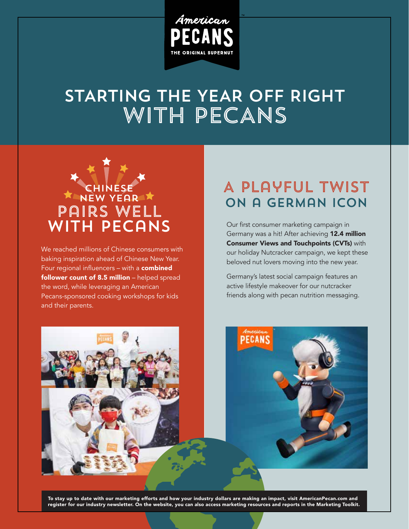

# WITH PECANS STARTING THE YEAR OFF RIGHT



We reached millions of Chinese consumers with baking inspiration ahead of Chinese New Year. Four regional influencers - with a combined follower count of 8.5 million - helped spread the word, while leveraging an American Pecans-sponsored cooking workshops for kids and their parents.

### A Playful Twist on a German Icon

Our first consumer marketing campaign in Germany was a hit! After achieving 12.4 million Consumer Views and Touchpoints (CVTs) with our holiday Nutcracker campaign, we kept these beloved nut lovers moving into the new year.

Germany's latest social campaign features an active lifestyle makeover for our nutcracker friends along with pecan nutrition messaging.





To stay up to date with our marketing efforts and how your industry dollars are making an impact, visit AmericanPecan.com and register for our industry newsletter. On the website, you can also access marketing resources and reports in the Marketing Toolkit.